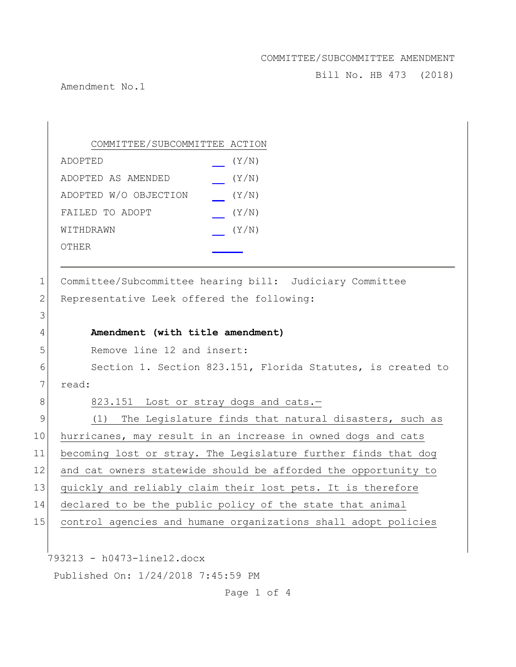Bill No. HB 473 (2018)

Amendment No.1

793213 - h0473-line12.docx Published On: 1/24/2018 7:45:59 PM COMMITTEE/SUBCOMMITTEE ACTION ADOPTED (Y/N) ADOPTED AS AMENDED (Y/N) ADOPTED W/O OBJECTION (Y/N) FAILED TO ADOPT (Y/N) WITHDRAWN  $(Y/N)$ OTHER 1 Committee/Subcommittee hearing bill: Judiciary Committee 2 Representative Leek offered the following: 3 4 **Amendment (with title amendment)** 5 Remove line 12 and insert: 6 Section 1. Section 823.151, Florida Statutes, is created to 7 read: 8 823.151 Lost or stray dogs and cats.-9 (1) The Legislature finds that natural disasters, such as 10 hurricanes, may result in an increase in owned dogs and cats 11 becoming lost or stray. The Legislature further finds that dog 12 and cat owners statewide should be afforded the opportunity to 13 quickly and reliably claim their lost pets. It is therefore 14 declared to be the public policy of the state that animal 15 control agencies and humane organizations shall adopt policies

Page 1 of 4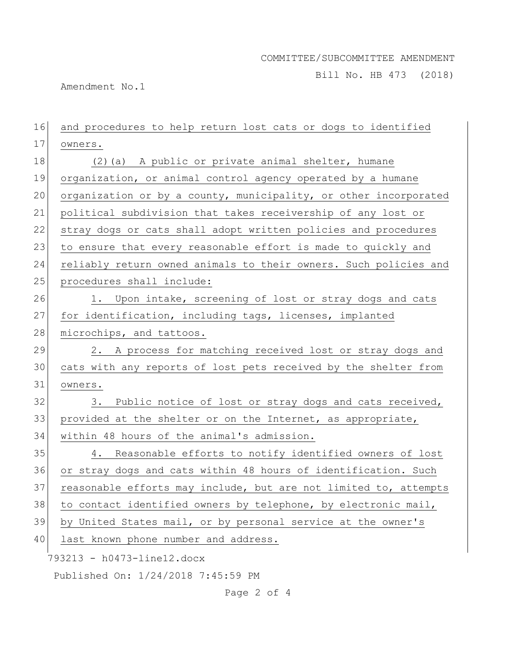Bill No. HB 473 (2018)

Amendment No.1

| 16 | and procedures to help return lost cats or dogs to identified    |
|----|------------------------------------------------------------------|
| 17 | owners.                                                          |
| 18 | (2) (a) A public or private animal shelter, humane               |
| 19 | organization, or animal control agency operated by a humane      |
| 20 | organization or by a county, municipality, or other incorporated |
| 21 | political subdivision that takes receivership of any lost or     |
| 22 | stray dogs or cats shall adopt written policies and procedures   |
| 23 | to ensure that every reasonable effort is made to quickly and    |
| 24 | reliably return owned animals to their owners. Such policies and |
| 25 | procedures shall include:                                        |
| 26 | 1. Upon intake, screening of lost or stray dogs and cats         |
| 27 | for identification, including tags, licenses, implanted          |
| 28 | microchips, and tattoos.                                         |
| 29 | 2. A process for matching received lost or stray dogs and        |
| 30 | cats with any reports of lost pets received by the shelter from  |
| 31 | owners.                                                          |
| 32 | Public notice of lost or stray dogs and cats received,<br>3.     |
| 33 | provided at the shelter or on the Internet, as appropriate,      |
| 34 | within 48 hours of the animal's admission.                       |
| 35 | 4. Reasonable efforts to notify identified owners of lost        |
| 36 | or stray dogs and cats within 48 hours of identification. Such   |
| 37 | reasonable efforts may include, but are not limited to, attempts |
| 38 | to contact identified owners by telephone, by electronic mail,   |
| 39 | by United States mail, or by personal service at the owner's     |
| 40 | last known phone number and address.                             |
|    | 793213 - h0473-line12.docx                                       |
|    | Published On: 1/24/2018 7:45:59 PM                               |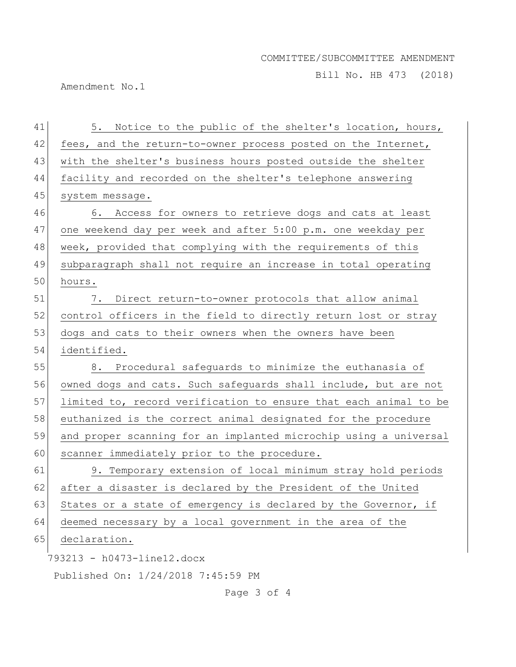Bill No. HB 473 (2018)

Amendment No.1

| 41 | 5. Notice to the public of the shelter's location, hours,        |
|----|------------------------------------------------------------------|
| 42 | fees, and the return-to-owner process posted on the Internet,    |
| 43 | with the shelter's business hours posted outside the shelter     |
| 44 | facility and recorded on the shelter's telephone answering       |
| 45 | system message.                                                  |
| 46 | 6. Access for owners to retrieve dogs and cats at least          |
| 47 | one weekend day per week and after 5:00 p.m. one weekday per     |
| 48 | week, provided that complying with the requirements of this      |
| 49 | subparagraph shall not require an increase in total operating    |
| 50 | hours.                                                           |
| 51 | Direct return-to-owner protocols that allow animal<br>7.         |
| 52 | control officers in the field to directly return lost or stray   |
| 53 | dogs and cats to their owners when the owners have been          |
| 54 | identified.                                                      |
| 55 | 8. Procedural safequards to minimize the euthanasia of           |
| 56 | owned dogs and cats. Such safeguards shall include, but are not  |
| 57 | limited to, record verification to ensure that each animal to be |
| 58 | euthanized is the correct animal designated for the procedure    |
| 59 | and proper scanning for an implanted microchip using a universal |
| 60 | scanner immediately prior to the procedure.                      |
| 61 | 9. Temporary extension of local minimum stray hold periods       |
| 62 | after a disaster is declared by the President of the United      |
| 63 | States or a state of emergency is declared by the Governor, if   |
| 64 | deemed necessary by a local government in the area of the        |
| 65 | declaration.                                                     |
|    | 793213 - h0473-line12.docx                                       |
|    | Published On: 1/24/2018 7:45:59 PM                               |
|    | Page 3 of 4                                                      |